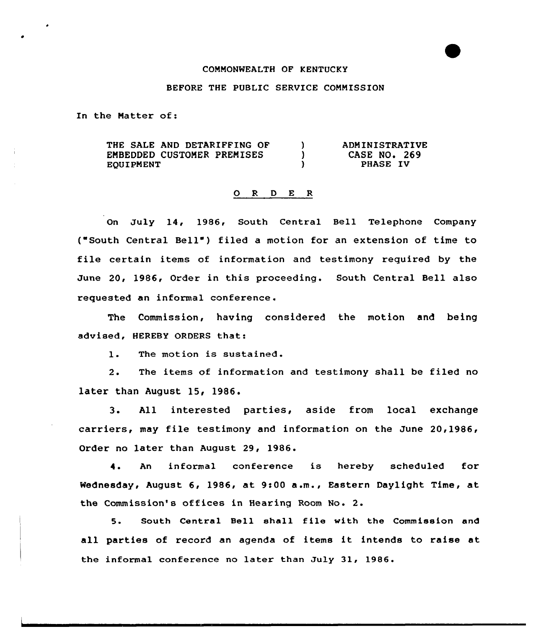## COMMONWEALTH OF KENTUCKY

## BEFORE THE PUBLIC SERVICE COMMISSION

In the Matter of:

THE SALE AND DETARIFFING OF  $\mathbf{L}$ ADMINISTRATIVE EMBEDDED CUSTOMER PREMISES  $\mathcal{L}$ CASE NO. 269 EQUIPMENT  $\mathbf{r}$ PHASE IV

## 0 <sup>R</sup> <sup>D</sup> E <sup>R</sup>

On July 14, 1986, South Central Bell Telephone Company ("South Central Bell") filed a motion for an extension of time to file certain items of information and testimony required by the June 20, 1986, Order in this proceeding. South Central Bell also requested an informal conference.

The Commission, having considered the motion and being advised, HEREBY ORDERS that:

1. The motion is sustained.

2. The items of information and testimony shall be filed no later than August 15, 1986.

3. All interested parties, aside from local exchange carriers, may file testimony and information on the June 20,1986, Order no later than August 29, 1986.

4. An informal conference is hereby scheduled for Wednesday, August 6, 1986, at 9:00 a.m., Eastern Daylight Time, at the Commission' offices in Hearing Room No. 2.

5. South Central Bell shall file with the Commission and all parties of record an agenda of items it intends to raise at the informal conference no later than July 31, 1986.